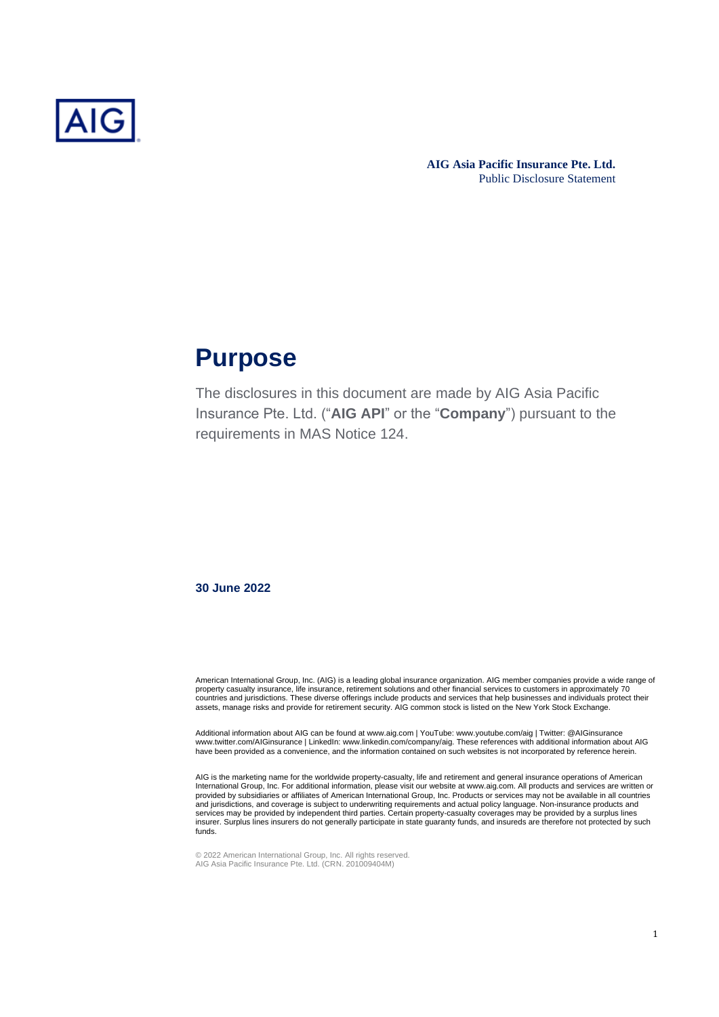

## **Purpose**

The disclosures in this document are made by AIG Asia Pacific Insurance Pte. Ltd. ("**AIG API**" or the "**Company**") pursuant to the requirements in MAS Notice 124.

**30 June 2022**

American International Group, Inc. (AIG) is a leading global insurance organization. AIG member companies provide a wide range of<br>property casualty insurance, life insurance, retirement solutions and other financial servic countries and jurisdictions. These diverse offerings include products and services that help businesses and individuals protect their assets, manage risks and provide for retirement security. AIG common stock is listed on the New York Stock Exchange.

Additional information about AIG can be found at www.aig.com | YouTube: www.youtube.com/aig | Twitter: @AIGinsurance www.twitter.com/AIGinsurance | LinkedIn: www.linkedin.com/company/aig. These references with additional information about AIG have been provided as a convenience, and the information contained on such websites is not incorporated by reference herein.

AIG is the marketing name for the worldwide property-casualty, life and retirement and general insurance operations of American International Group, Inc. For additional information, please visit our website at www.aig.com. All products and services are written or provided by subsidiaries or affiliates of American International Group, Inc. Products or services may not be available in all countries<br>and jurisdictions, and coverage is subject to underwriting requirements and actual pol services may be provided by independent third parties. Certain property-casualty coverages may be provided by a surplus lines insurer. Surplus lines insurers do not generally participate in state guaranty funds, and insureds are therefore not protected by such funds.

© 2022 American International Group, Inc. All rights reserved. AIG Asia Pacific Insurance Pte. Ltd. (CRN. 201009404M)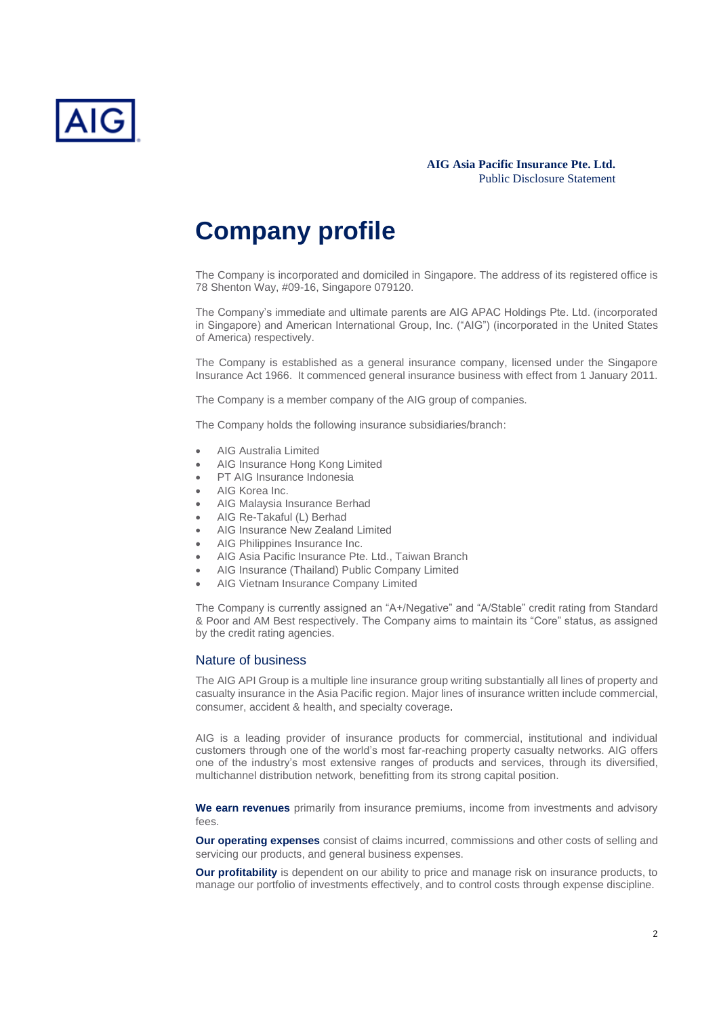

## **Company profile**

The Company is incorporated and domiciled in Singapore. The address of its registered office is 78 Shenton Way, #09-16, Singapore 079120.

The Company's immediate and ultimate parents are AIG APAC Holdings Pte. Ltd. (incorporated in Singapore) and American International Group, Inc. ("AIG") (incorporated in the United States of America) respectively.

The Company is established as a general insurance company, licensed under the Singapore Insurance Act 1966. It commenced general insurance business with effect from 1 January 2011.

The Company is a member company of the AIG group of companies.

The Company holds the following insurance subsidiaries/branch:

- AIG Australia Limited
- AIG Insurance Hong Kong Limited
- PT AIG Insurance Indonesia
- AIG Korea Inc.
- AIG Malaysia Insurance Berhad
- AIG Re-Takaful (L) Berhad
- AIG Insurance New Zealand Limited
- AIG Philippines Insurance Inc.
- AIG Asia Pacific Insurance Pte. Ltd., Taiwan Branch
- AIG Insurance (Thailand) Public Company Limited
- AIG Vietnam Insurance Company Limited

The Company is currently assigned an "A+/Negative" and "A/Stable" credit rating from Standard & Poor and AM Best respectively. The Company aims to maintain its "Core" status, as assigned by the credit rating agencies.

## Nature of business

The AIG API Group is a multiple line insurance group writing substantially all lines of property and casualty insurance in the Asia Pacific region. Major lines of insurance written include commercial, consumer, accident & health, and specialty coverage.

AIG is a leading provider of insurance products for commercial, institutional and individual customers through one of the world's most far-reaching property casualty networks. AIG offers one of the industry's most extensive ranges of products and services, through its diversified, multichannel distribution network, benefitting from its strong capital position.

**We earn revenues** primarily from insurance premiums, income from investments and advisory fees.

**Our operating expenses** consist of claims incurred, commissions and other costs of selling and servicing our products, and general business expenses.

**Our profitability** is dependent on our ability to price and manage risk on insurance products, to manage our portfolio of investments effectively, and to control costs through expense discipline.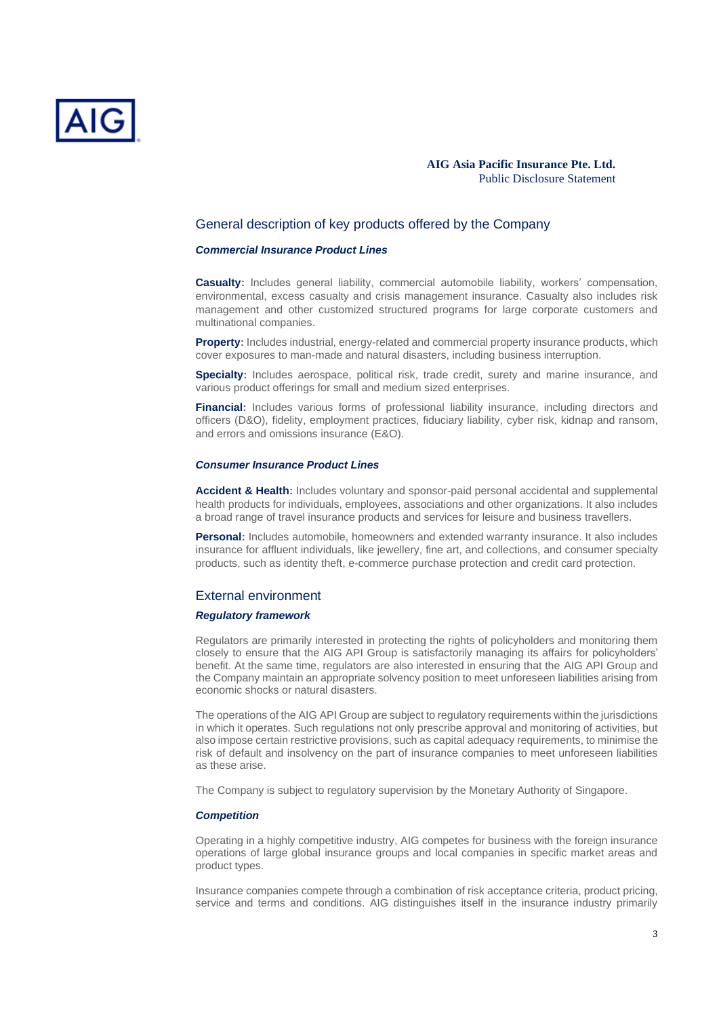

## General description of key products offered by the Company

#### *Commercial Insurance Product Lines*

**Casualty:** Includes general liability, commercial automobile liability, workers' compensation, environmental, excess casualty and crisis management insurance. Casualty also includes risk management and other customized structured programs for large corporate customers and multinational companies.

**Property:** Includes industrial, energy-related and commercial property insurance products, which cover exposures to man-made and natural disasters, including business interruption.

**Specialty:** Includes aerospace, political risk, trade credit, surety and marine insurance, and various product offerings for small and medium sized enterprises.

**Financial:** Includes various forms of professional liability insurance, including directors and officers (D&O), fidelity, employment practices, fiduciary liability, cyber risk, kidnap and ransom, and errors and omissions insurance (E&O).

#### *Consumer Insurance Product Lines*

**Accident & Health:** Includes voluntary and sponsor-paid personal accidental and supplemental health products for individuals, employees, associations and other organizations. It also includes a broad range of travel insurance products and services for leisure and business travellers.

**Personal:** Includes automobile, homeowners and extended warranty insurance. It also includes insurance for affluent individuals, like jewellery, fine art, and collections, and consumer specialty products, such as identity theft, e-commerce purchase protection and credit card protection.

#### External environment

### *Regulatory framework*

Regulators are primarily interested in protecting the rights of policyholders and monitoring them closely to ensure that the AIG API Group is satisfactorily managing its affairs for policyholders' benefit. At the same time, regulators are also interested in ensuring that the AIG API Group and the Company maintain an appropriate solvency position to meet unforeseen liabilities arising from economic shocks or natural disasters.

The operations of the AIG API Group are subject to regulatory requirements within the jurisdictions in which it operates. Such regulations not only prescribe approval and monitoring of activities, but also impose certain restrictive provisions, such as capital adequacy requirements, to minimise the risk of default and insolvency on the part of insurance companies to meet unforeseen liabilities as these arise.

The Company is subject to regulatory supervision by the Monetary Authority of Singapore.

#### *Competition*

Operating in a highly competitive industry, AIG competes for business with the foreign insurance operations of large global insurance groups and local companies in specific market areas and product types.

Insurance companies compete through a combination of risk acceptance criteria, product pricing, service and terms and conditions. AIG distinguishes itself in the insurance industry primarily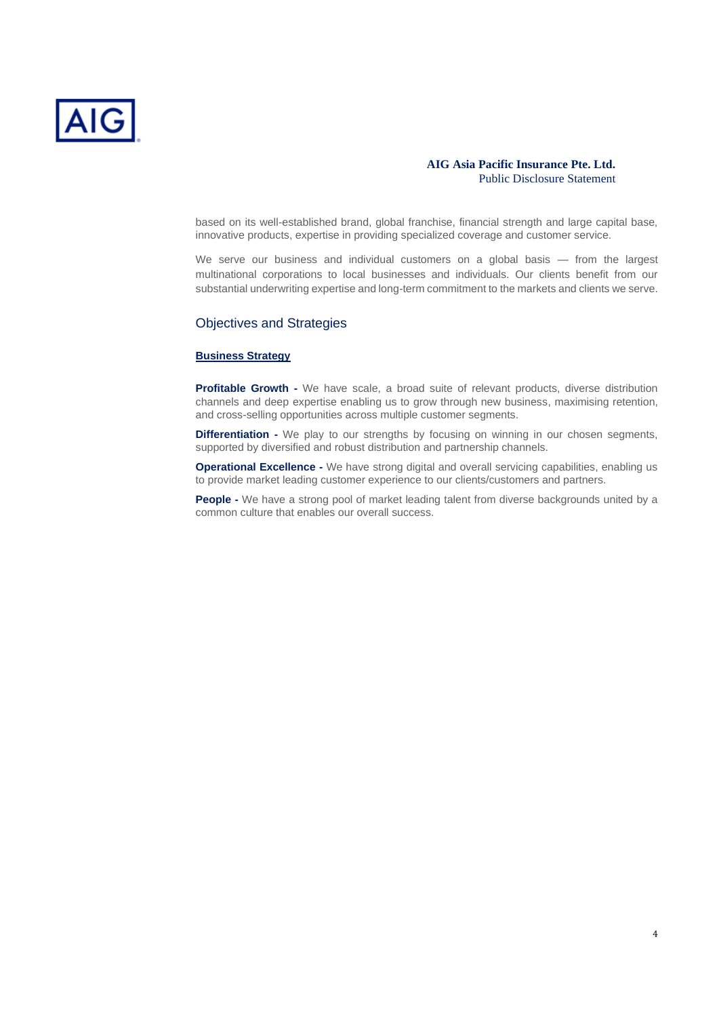

based on its well-established brand, global franchise, financial strength and large capital base, innovative products, expertise in providing specialized coverage and customer service.

We serve our business and individual customers on a global basis — from the largest multinational corporations to local businesses and individuals. Our clients benefit from our substantial underwriting expertise and long-term commitment to the markets and clients we serve.

## Objectives and Strategies

#### **Business Strategy**

**Profitable Growth -** We have scale, a broad suite of relevant products, diverse distribution channels and deep expertise enabling us to grow through new business, maximising retention, and cross-selling opportunities across multiple customer segments.

**Differentiation -** We play to our strengths by focusing on winning in our chosen segments, supported by diversified and robust distribution and partnership channels.

**Operational Excellence -** We have strong digital and overall servicing capabilities, enabling us to provide market leading customer experience to our clients/customers and partners.

**People -** We have a strong pool of market leading talent from diverse backgrounds united by a common culture that enables our overall success.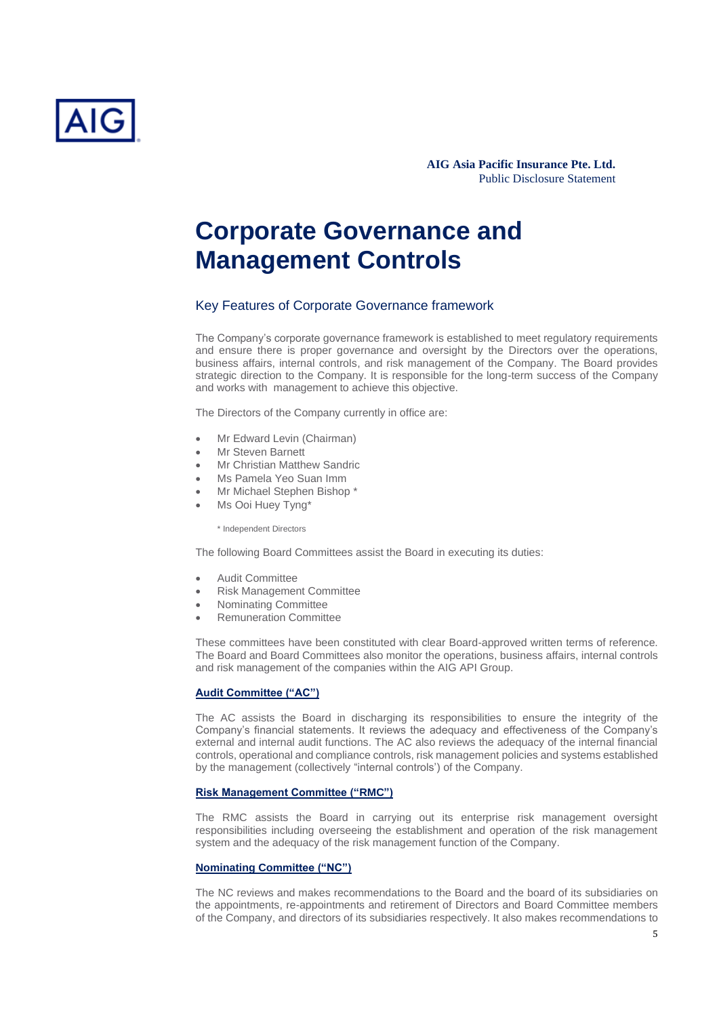

## **Corporate Governance and Management Controls**

## Key Features of Corporate Governance framework

The Company's corporate governance framework is established to meet regulatory requirements and ensure there is proper governance and oversight by the Directors over the operations, business affairs, internal controls, and risk management of the Company. The Board provides strategic direction to the Company. It is responsible for the long-term success of the Company and works with management to achieve this objective.

The Directors of the Company currently in office are:

- Mr Edward Levin (Chairman)
- Mr Steven Barnett
- **Mr Christian Matthew Sandric**
- Ms Pamela Yeo Suan Imm
- Mr Michael Stephen Bishop \*
- Ms Ooi Huey Tyng\*

\* Independent Directors

The following Board Committees assist the Board in executing its duties:

- Audit Committee
- Risk Management Committee
- Nominating Committee
- Remuneration Committee

These committees have been constituted with clear Board-approved written terms of reference. The Board and Board Committees also monitor the operations, business affairs, internal controls and risk management of the companies within the AIG API Group.

#### **Audit Committee ("AC")**

The AC assists the Board in discharging its responsibilities to ensure the integrity of the Company's financial statements. It reviews the adequacy and effectiveness of the Company's external and internal audit functions. The AC also reviews the adequacy of the internal financial controls, operational and compliance controls, risk management policies and systems established by the management (collectively "internal controls') of the Company.

#### **Risk Management Committee ("RMC")**

The RMC assists the Board in carrying out its enterprise risk management oversight responsibilities including overseeing the establishment and operation of the risk management system and the adequacy of the risk management function of the Company.

#### **Nominating Committee ("NC")**

The NC reviews and makes recommendations to the Board and the board of its subsidiaries on the appointments, re-appointments and retirement of Directors and Board Committee members of the Company, and directors of its subsidiaries respectively. It also makes recommendations to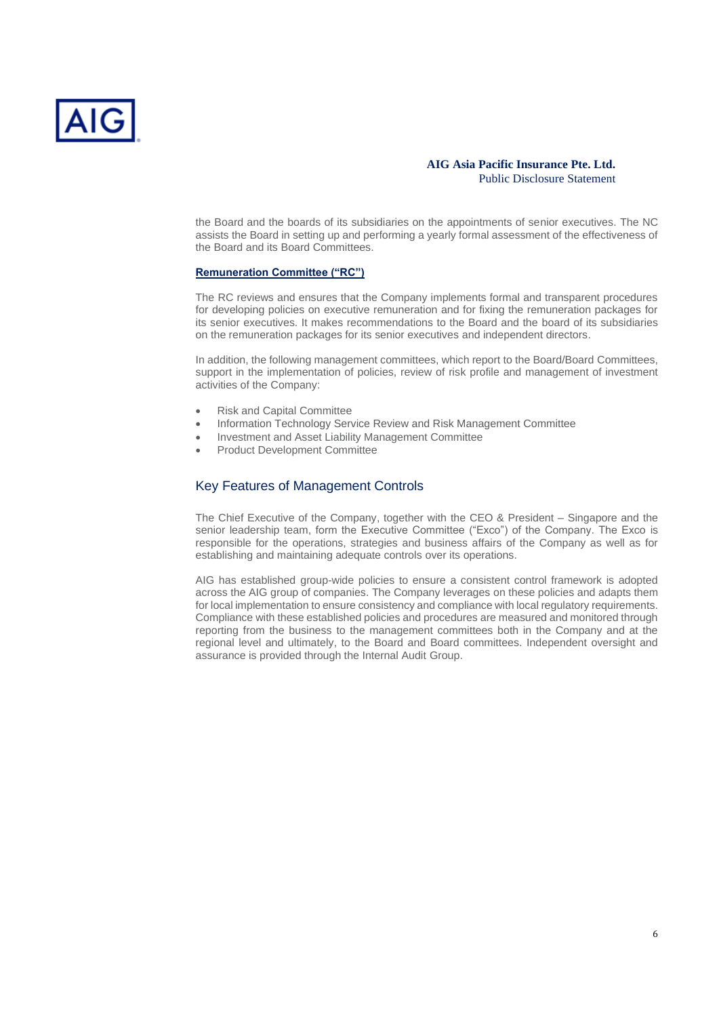

the Board and the boards of its subsidiaries on the appointments of senior executives. The NC assists the Board in setting up and performing a yearly formal assessment of the effectiveness of the Board and its Board Committees.

#### **Remuneration Committee ("RC")**

The RC reviews and ensures that the Company implements formal and transparent procedures for developing policies on executive remuneration and for fixing the remuneration packages for its senior executives. It makes recommendations to the Board and the board of its subsidiaries on the remuneration packages for its senior executives and independent directors.

In addition, the following management committees, which report to the Board/Board Committees, support in the implementation of policies, review of risk profile and management of investment activities of the Company:

- Risk and Capital Committee
- Information Technology Service Review and Risk Management Committee
- Investment and Asset Liability Management Committee
- Product Development Committee

## Key Features of Management Controls

The Chief Executive of the Company, together with the CEO & President – Singapore and the senior leadership team, form the Executive Committee ("Exco") of the Company. The Exco is responsible for the operations, strategies and business affairs of the Company as well as for establishing and maintaining adequate controls over its operations.

AIG has established group-wide policies to ensure a consistent control framework is adopted across the AIG group of companies. The Company leverages on these policies and adapts them for local implementation to ensure consistency and compliance with local regulatory requirements. Compliance with these established policies and procedures are measured and monitored through reporting from the business to the management committees both in the Company and at the regional level and ultimately, to the Board and Board committees. Independent oversight and assurance is provided through the Internal Audit Group.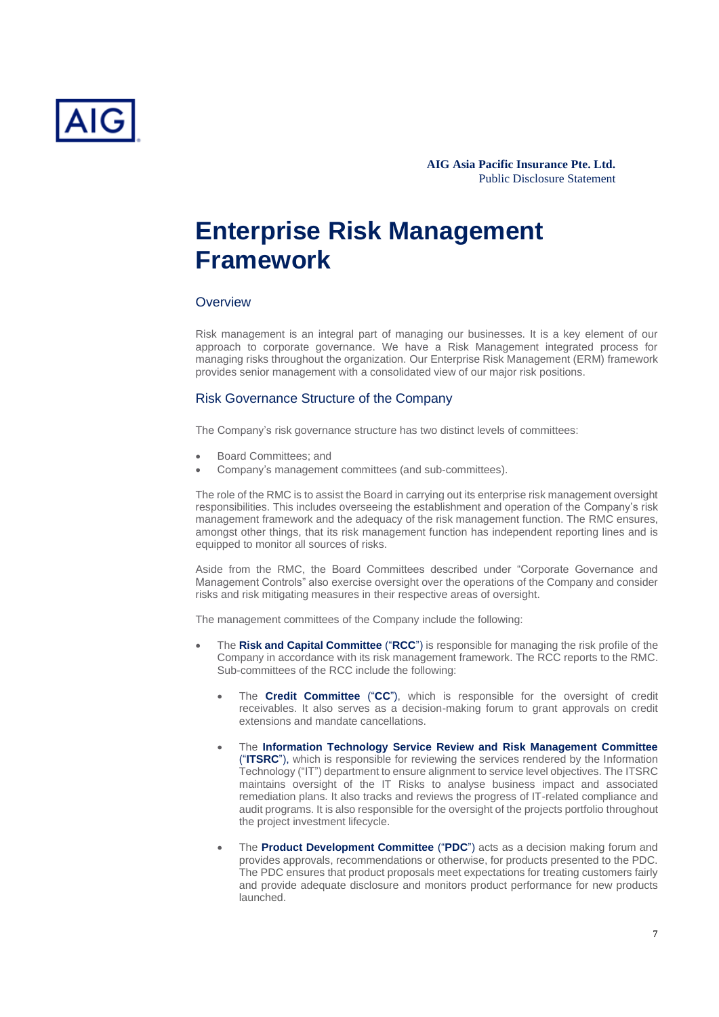

## **Enterprise Risk Management Framework**

## **Overview**

Risk management is an integral part of managing our businesses. It is a key element of our approach to corporate governance. We have a Risk Management integrated process for managing risks throughout the organization. Our Enterprise Risk Management (ERM) framework provides senior management with a consolidated view of our major risk positions.

#### Risk Governance Structure of the Company

The Company's risk governance structure has two distinct levels of committees:

- Board Committees; and
- Company's management committees (and sub-committees).

The role of the RMC is to assist the Board in carrying out its enterprise risk management oversight responsibilities. This includes overseeing the establishment and operation of the Company's risk management framework and the adequacy of the risk management function. The RMC ensures, amongst other things, that its risk management function has independent reporting lines and is equipped to monitor all sources of risks.

Aside from the RMC, the Board Committees described under "Corporate Governance and Management Controls" also exercise oversight over the operations of the Company and consider risks and risk mitigating measures in their respective areas of oversight.

The management committees of the Company include the following:

- The **Risk and Capital Committee** ("**RCC**") is responsible for managing the risk profile of the Company in accordance with its risk management framework. The RCC reports to the RMC. Sub-committees of the RCC include the following:
	- The **Credit Committee** ("**CC**"), which is responsible for the oversight of credit receivables. It also serves as a decision-making forum to grant approvals on credit extensions and mandate cancellations.
	- The **Information Technology Service Review and Risk Management Committee** ("**ITSRC**"), which is responsible for reviewing the services rendered by the Information Technology ("IT") department to ensure alignment to service level objectives. The ITSRC maintains oversight of the IT Risks to analyse business impact and associated remediation plans. It also tracks and reviews the progress of IT-related compliance and audit programs. It is also responsible for the oversight of the projects portfolio throughout the project investment lifecycle.
	- The **Product Development Committee** ("**PDC**") acts as a decision making forum and provides approvals, recommendations or otherwise, for products presented to the PDC. The PDC ensures that product proposals meet expectations for treating customers fairly and provide adequate disclosure and monitors product performance for new products launched.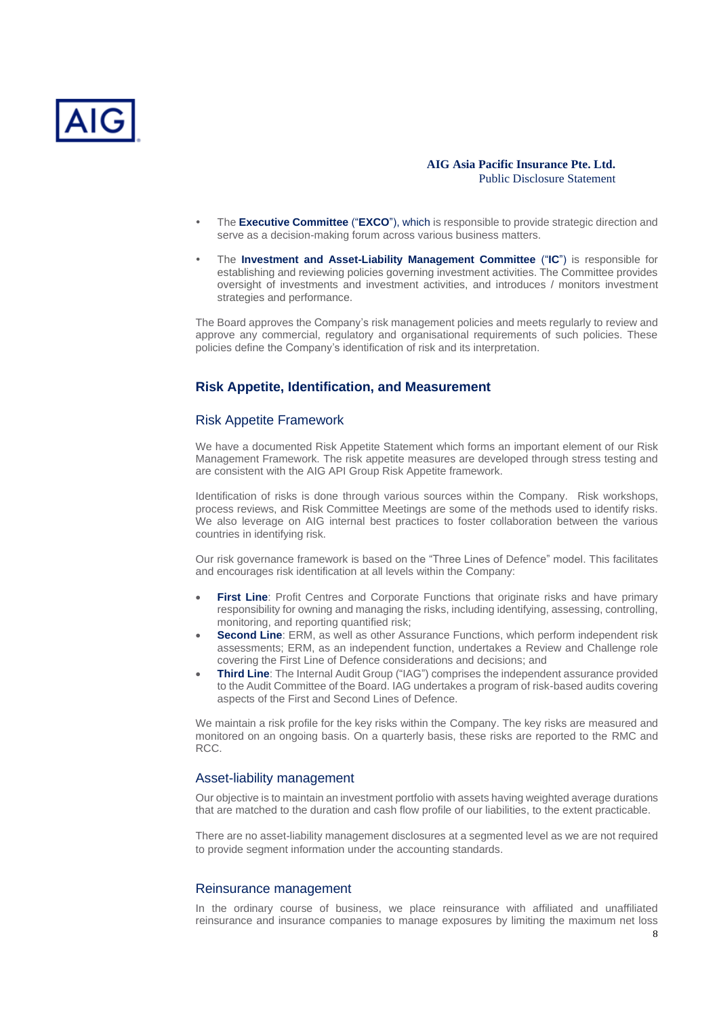

- The **Executive Committee** ("**EXCO**"), which is responsible to provide strategic direction and serve as a decision-making forum across various business matters.
- The **Investment and Asset-Liability Management Committee** ("**IC**") is responsible for establishing and reviewing policies governing investment activities. The Committee provides oversight of investments and investment activities, and introduces / monitors investment strategies and performance.

The Board approves the Company's risk management policies and meets regularly to review and approve any commercial, regulatory and organisational requirements of such policies. These policies define the Company's identification of risk and its interpretation.

#### **Risk Appetite, Identification, and Measurement**

#### Risk Appetite Framework

We have a documented Risk Appetite Statement which forms an important element of our Risk Management Framework. The risk appetite measures are developed through stress testing and are consistent with the AIG API Group Risk Appetite framework.

Identification of risks is done through various sources within the Company. Risk workshops, process reviews, and Risk Committee Meetings are some of the methods used to identify risks. We also leverage on AIG internal best practices to foster collaboration between the various countries in identifying risk.

Our risk governance framework is based on the "Three Lines of Defence" model. This facilitates and encourages risk identification at all levels within the Company:

- **First Line**: Profit Centres and Corporate Functions that originate risks and have primary responsibility for owning and managing the risks, including identifying, assessing, controlling, monitoring, and reporting quantified risk;
- **Second Line**: ERM, as well as other Assurance Functions, which perform independent risk assessments; ERM, as an independent function, undertakes a Review and Challenge role covering the First Line of Defence considerations and decisions; and
- **Third Line**: The Internal Audit Group ("IAG") comprises the independent assurance provided to the Audit Committee of the Board. IAG undertakes a program of risk-based audits covering aspects of the First and Second Lines of Defence.

We maintain a risk profile for the key risks within the Company. The key risks are measured and monitored on an ongoing basis. On a quarterly basis, these risks are reported to the RMC and RCC.

#### Asset-liability management

Our objective is to maintain an investment portfolio with assets having weighted average durations that are matched to the duration and cash flow profile of our liabilities, to the extent practicable.

There are no asset-liability management disclosures at a segmented level as we are not required to provide segment information under the accounting standards.

#### Reinsurance management

In the ordinary course of business, we place reinsurance with affiliated and unaffiliated reinsurance and insurance companies to manage exposures by limiting the maximum net loss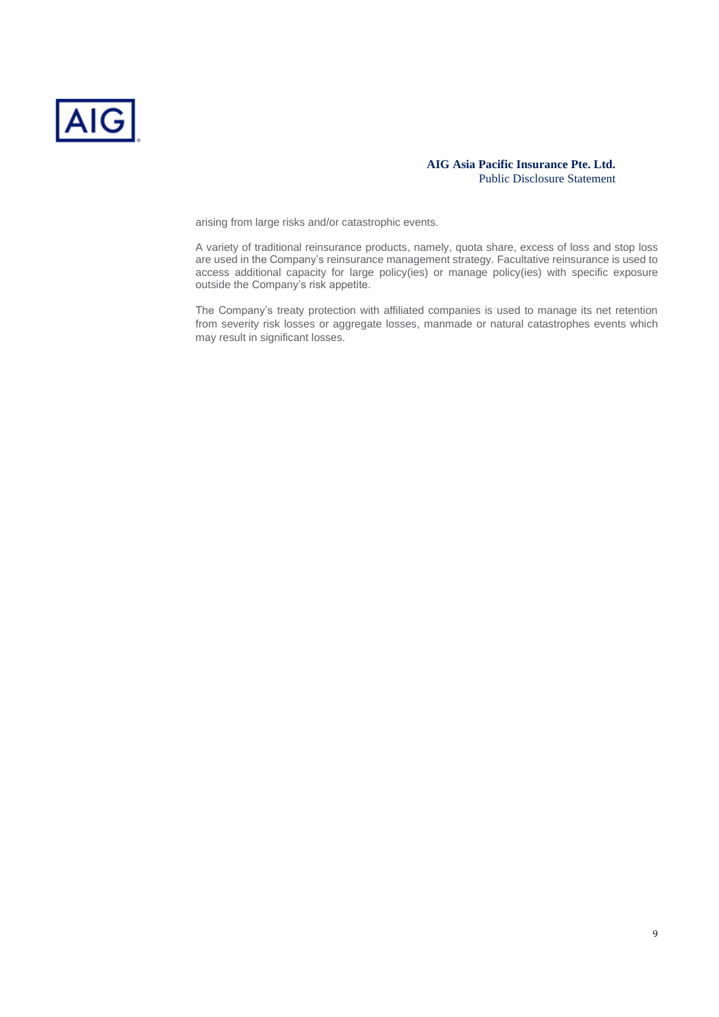

arising from large risks and/or catastrophic events.

A variety of traditional reinsurance products, namely, quota share, excess of loss and stop loss are used in the Company's reinsurance management strategy. Facultative reinsurance is used to access additional capacity for large policy(ies) or manage policy(ies) with specific exposure outside the Company's risk appetite.

The Company's treaty protection with affiliated companies is used to manage its net retention from severity risk losses or aggregate losses, manmade or natural catastrophes events which may result in significant losses.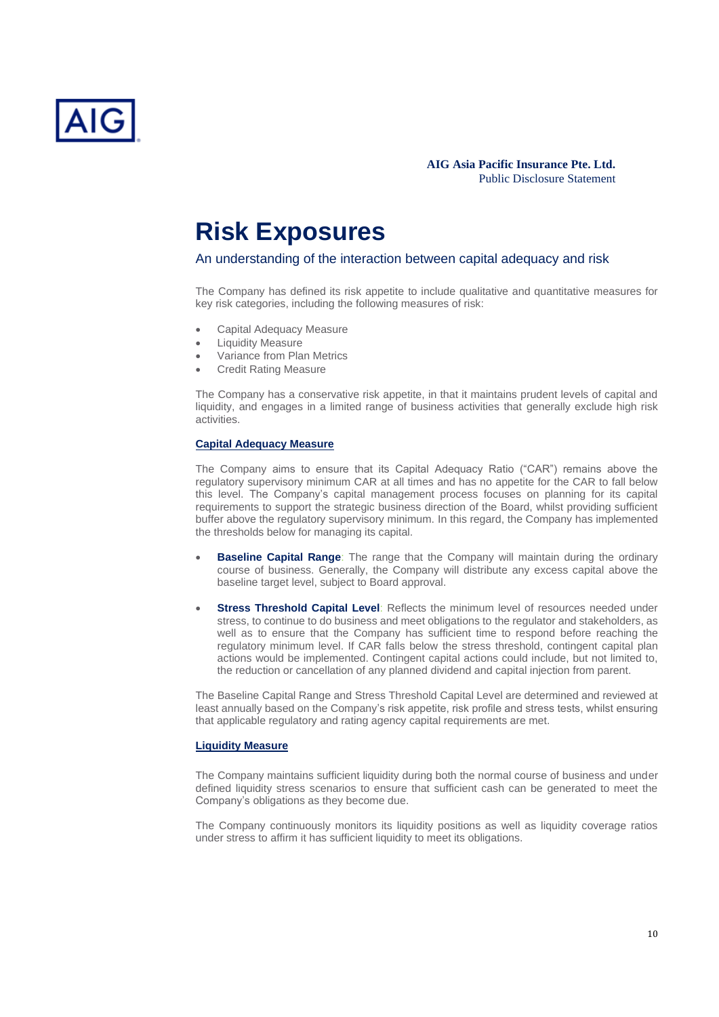

## **Risk Exposures**

An understanding of the interaction between capital adequacy and risk

The Company has defined its risk appetite to include qualitative and quantitative measures for key risk categories, including the following measures of risk:

- Capital Adequacy Measure
- **Liquidity Measure**
- Variance from Plan Metrics
- Credit Rating Measure

The Company has a conservative risk appetite, in that it maintains prudent levels of capital and liquidity, and engages in a limited range of business activities that generally exclude high risk activities.

### **Capital Adequacy Measure**

The Company aims to ensure that its Capital Adequacy Ratio ("CAR") remains above the regulatory supervisory minimum CAR at all times and has no appetite for the CAR to fall below this level. The Company's capital management process focuses on planning for its capital requirements to support the strategic business direction of the Board, whilst providing sufficient buffer above the regulatory supervisory minimum. In this regard, the Company has implemented the thresholds below for managing its capital.

- **Baseline Capital Range**: The range that the Company will maintain during the ordinary course of business. Generally, the Company will distribute any excess capital above the baseline target level, subject to Board approval.
- **Stress Threshold Capital Level**: Reflects the minimum level of resources needed under stress, to continue to do business and meet obligations to the regulator and stakeholders, as well as to ensure that the Company has sufficient time to respond before reaching the regulatory minimum level. If CAR falls below the stress threshold, contingent capital plan actions would be implemented. Contingent capital actions could include, but not limited to, the reduction or cancellation of any planned dividend and capital injection from parent.

The Baseline Capital Range and Stress Threshold Capital Level are determined and reviewed at least annually based on the Company's risk appetite, risk profile and stress tests, whilst ensuring that applicable regulatory and rating agency capital requirements are met.

#### **Liquidity Measure**

The Company maintains sufficient liquidity during both the normal course of business and under defined liquidity stress scenarios to ensure that sufficient cash can be generated to meet the Company's obligations as they become due.

The Company continuously monitors its liquidity positions as well as liquidity coverage ratios under stress to affirm it has sufficient liquidity to meet its obligations.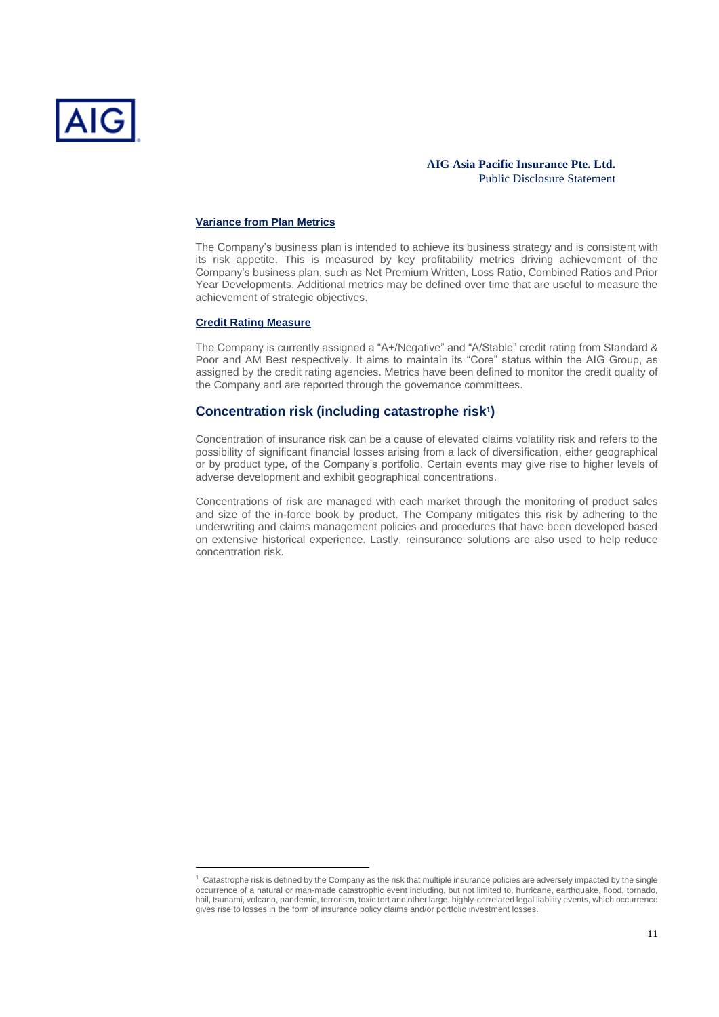

#### **Variance from Plan Metrics**

The Company's business plan is intended to achieve its business strategy and is consistent with its risk appetite. This is measured by key profitability metrics driving achievement of the Company's business plan, such as Net Premium Written, Loss Ratio, Combined Ratios and Prior Year Developments. Additional metrics may be defined over time that are useful to measure the achievement of strategic objectives.

#### **Credit Rating Measure**

The Company is currently assigned a "A+/Negative" and "A/Stable" credit rating from Standard & Poor and AM Best respectively. It aims to maintain its "Core" status within the AIG Group, as assigned by the credit rating agencies. Metrics have been defined to monitor the credit quality of the Company and are reported through the governance committees.

### **Concentration risk (including catastrophe risk<sup>1</sup> )**

Concentration of insurance risk can be a cause of elevated claims volatility risk and refers to the possibility of significant financial losses arising from a lack of diversification, either geographical or by product type, of the Company's portfolio. Certain events may give rise to higher levels of adverse development and exhibit geographical concentrations.

Concentrations of risk are managed with each market through the monitoring of product sales and size of the in-force book by product. The Company mitigates this risk by adhering to the underwriting and claims management policies and procedures that have been developed based on extensive historical experience. Lastly, reinsurance solutions are also used to help reduce concentration risk.

 $1$  Catastrophe risk is defined by the Company as the risk that multiple insurance policies are adversely impacted by the single occurrence of a natural or man-made catastrophic event including, but not limited to, hurricane, earthquake, flood, tornado, hail, tsunami, volcano, pandemic, terrorism, toxic tort and other large, highly-correlated legal liability events, which occurrence gives rise to losses in the form of insurance policy claims and/or portfolio investment losses.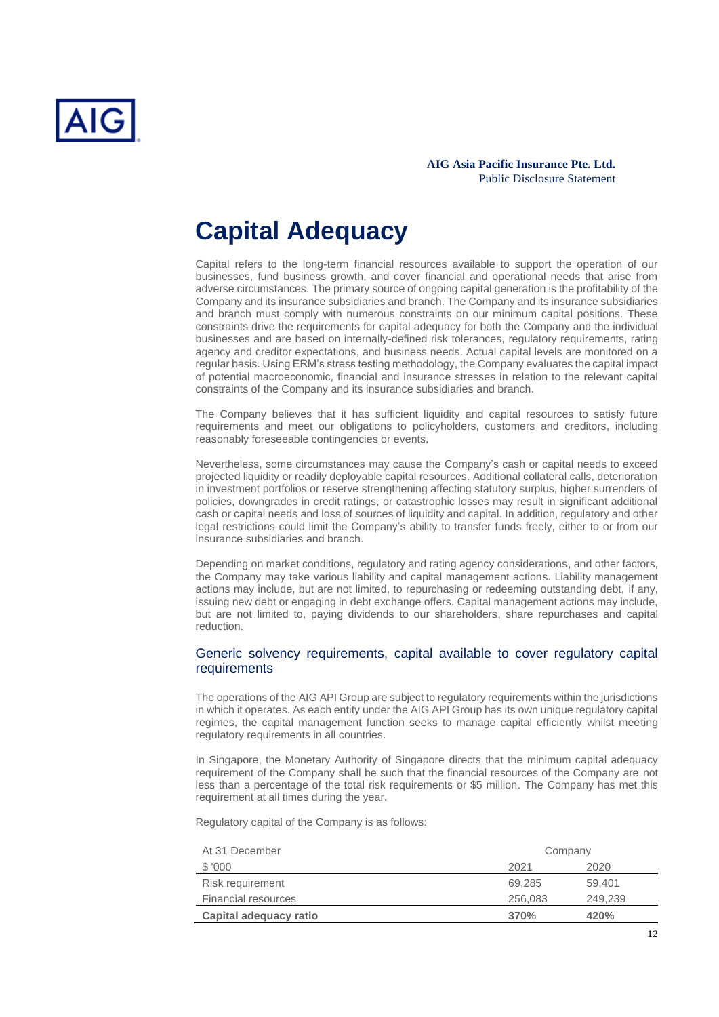

# **Capital Adequacy**

Capital refers to the long-term financial resources available to support the operation of our businesses, fund business growth, and cover financial and operational needs that arise from adverse circumstances. The primary source of ongoing capital generation is the profitability of the Company and its insurance subsidiaries and branch. The Company and its insurance subsidiaries and branch must comply with numerous constraints on our minimum capital positions. These constraints drive the requirements for capital adequacy for both the Company and the individual businesses and are based on internally-defined risk tolerances, regulatory requirements, rating agency and creditor expectations, and business needs. Actual capital levels are monitored on a regular basis. Using ERM's stress testing methodology, the Company evaluates the capital impact of potential macroeconomic, financial and insurance stresses in relation to the relevant capital constraints of the Company and its insurance subsidiaries and branch.

The Company believes that it has sufficient liquidity and capital resources to satisfy future requirements and meet our obligations to policyholders, customers and creditors, including reasonably foreseeable contingencies or events.

Nevertheless, some circumstances may cause the Company's cash or capital needs to exceed projected liquidity or readily deployable capital resources. Additional collateral calls, deterioration in investment portfolios or reserve strengthening affecting statutory surplus, higher surrenders of policies, downgrades in credit ratings, or catastrophic losses may result in significant additional cash or capital needs and loss of sources of liquidity and capital. In addition, regulatory and other legal restrictions could limit the Company's ability to transfer funds freely, either to or from our insurance subsidiaries and branch.

Depending on market conditions, regulatory and rating agency considerations, and other factors, the Company may take various liability and capital management actions. Liability management actions may include, but are not limited, to repurchasing or redeeming outstanding debt, if any, issuing new debt or engaging in debt exchange offers. Capital management actions may include, but are not limited to, paying dividends to our shareholders, share repurchases and capital reduction.

## Generic solvency requirements, capital available to cover regulatory capital requirements

The operations of the AIG API Group are subject to regulatory requirements within the jurisdictions in which it operates. As each entity under the AIG API Group has its own unique regulatory capital regimes, the capital management function seeks to manage capital efficiently whilst meeting regulatory requirements in all countries.

In Singapore, the Monetary Authority of Singapore directs that the minimum capital adequacy requirement of the Company shall be such that the financial resources of the Company are not less than a percentage of the total risk requirements or \$5 million. The Company has met this requirement at all times during the year.

Regulatory capital of the Company is as follows:

| At 31 December             | Company |         |
|----------------------------|---------|---------|
| \$ '000                    | 2021    | 2020    |
| Risk requirement           | 69.285  | 59,401  |
| <b>Financial resources</b> | 256,083 | 249.239 |
| Capital adequacy ratio     | 370%    | 420%    |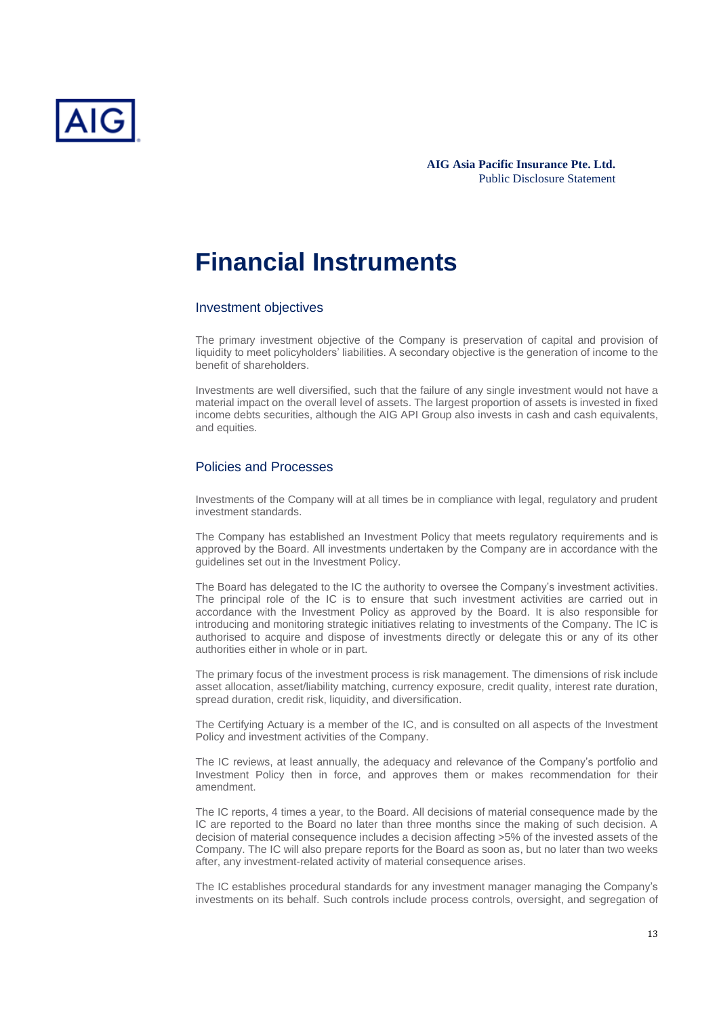

## **Financial Instruments**

#### Investment objectives

The primary investment objective of the Company is preservation of capital and provision of liquidity to meet policyholders' liabilities. A secondary objective is the generation of income to the benefit of shareholders.

Investments are well diversified, such that the failure of any single investment would not have a material impact on the overall level of assets. The largest proportion of assets is invested in fixed income debts securities, although the AIG API Group also invests in cash and cash equivalents, and equities.

## Policies and Processes

Investments of the Company will at all times be in compliance with legal, regulatory and prudent investment standards.

The Company has established an Investment Policy that meets regulatory requirements and is approved by the Board. All investments undertaken by the Company are in accordance with the guidelines set out in the Investment Policy.

The Board has delegated to the IC the authority to oversee the Company's investment activities. The principal role of the IC is to ensure that such investment activities are carried out in accordance with the Investment Policy as approved by the Board. It is also responsible for introducing and monitoring strategic initiatives relating to investments of the Company. The IC is authorised to acquire and dispose of investments directly or delegate this or any of its other authorities either in whole or in part.

The primary focus of the investment process is risk management. The dimensions of risk include asset allocation, asset/liability matching, currency exposure, credit quality, interest rate duration, spread duration, credit risk, liquidity, and diversification.

The Certifying Actuary is a member of the IC, and is consulted on all aspects of the Investment Policy and investment activities of the Company.

The IC reviews, at least annually, the adequacy and relevance of the Company's portfolio and Investment Policy then in force, and approves them or makes recommendation for their amendment.

The IC reports, 4 times a year, to the Board. All decisions of material consequence made by the IC are reported to the Board no later than three months since the making of such decision. A decision of material consequence includes a decision affecting >5% of the invested assets of the Company. The IC will also prepare reports for the Board as soon as, but no later than two weeks after, any investment-related activity of material consequence arises.

The IC establishes procedural standards for any investment manager managing the Company's investments on its behalf. Such controls include process controls, oversight, and segregation of